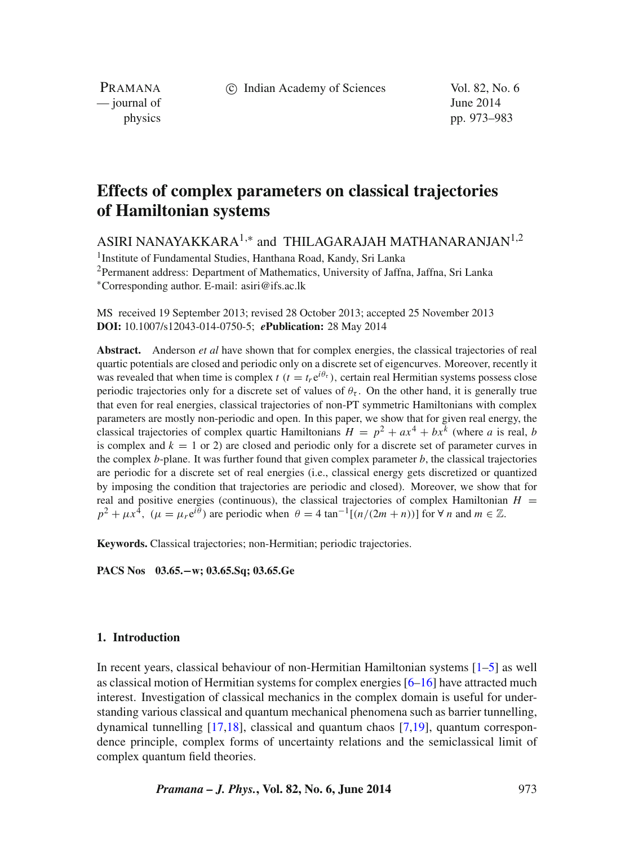c Indian Academy of Sciences Vol. 82, No. 6

PRAMANA  $\frac{1}{2}$  journal of June 2014

physics pp. 973–983

# **Effects of complex parameters on classical trajectories of Hamiltonian systems**

ASIRI NANAYAKKARA<sup>1,∗</sup> and THILAGARAJAH MATHANARANJAN<sup>1,2</sup>

1Institute of Fundamental Studies, Hanthana Road, Kandy, Sri Lanka

<sup>2</sup>Permanent address: Department of Mathematics, University of Jaffna, Jaffna, Sri Lanka ∗Corresponding author. E-mail: asiri@ifs.ac.lk

MS received 19 September 2013; revised 28 October 2013; accepted 25 November 2013 **DOI:** 10.1007/s12043-014-0750-5; *e***Publication:** 28 May 2014

**Abstract.** Anderson *et al* have shown that for complex energies, the classical trajectories of real quartic potentials are closed and periodic only on a discrete set of eigencurves. Moreover, recently it was revealed that when time is complex  $t$  ( $t = t_r e^{i\theta_\tau}$ ), certain real Hermitian systems possess close periodic trajectories only for a discrete set of values of  $\theta_{\tau}$ . On the other hand, it is generally true that even for real energies, classical trajectories of non-PT symmetric Hamiltonians with complex parameters are mostly non-periodic and open. In this paper, we show that for given real energy, the classical trajectories of complex quartic Hamiltonians  $H = p^2 + ax^4 + bx^k$  (where *a* is real, *b* is complex and  $k = 1$  or 2) are closed and periodic only for a discrete set of parameter curves in the complex *b*-plane. It was further found that given complex parameter *b*, the classical trajectories are periodic for a discrete set of real energies (i.e., classical energy gets discretized or quantized by imposing the condition that trajectories are periodic and closed). Moreover, we show that for real and positive energies (continuous), the classical trajectories of complex Hamiltonian  $H =$  $p^2 + \mu x^4$ ,  $(\mu = \mu r e^{i\theta})$  are periodic when  $\theta = 4 \tan^{-1}[(n/(2m+n))]$  for  $\forall n$  and  $m \in \mathbb{Z}$ .

**Keywords.** Classical trajectories; non-Hermitian; periodic trajectories.

**PACS Nos 03.65.−w; 03.65.Sq; 03.65.Ge**

### **1. Introduction**

In recent years, classical behaviour of non-Hermitian Hamiltonian systems [\[1](#page-10-0)[–5\]](#page-10-1) as well as classical motion of Hermitian systems for complex energies  $[6–16]$  $[6–16]$  have attracted much interest. Investigation of classical mechanics in the complex domain is useful for understanding various classical and quantum mechanical phenomena such as barrier tunnelling, dynamical tunnelling [\[17](#page-10-4)[,18\]](#page-10-5), classical and quantum chaos [\[7](#page-10-6)[,19\]](#page-10-7), quantum correspondence principle, complex forms of uncertainty relations and the semiclassical limit of complex quantum field theories.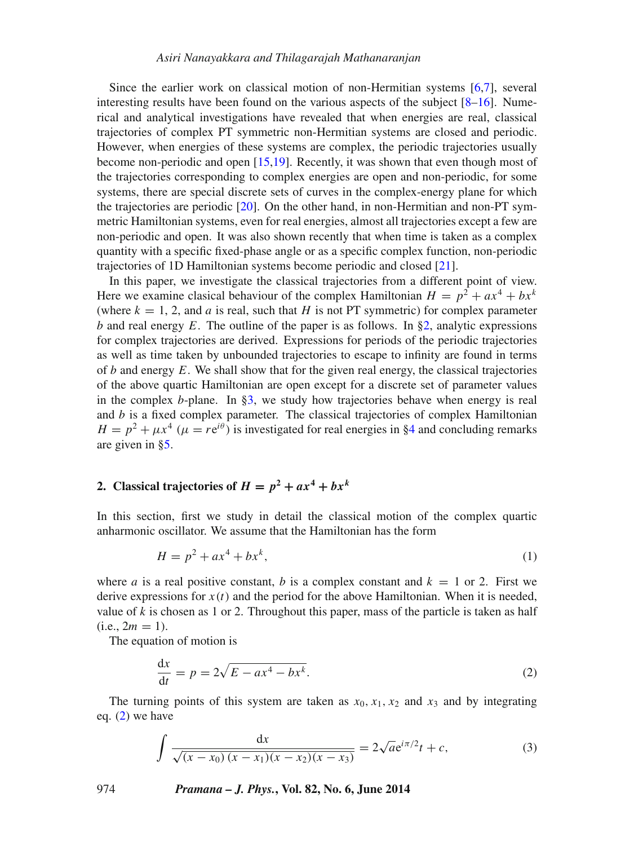### *Asiri Nanayakkara and Thilagarajah Mathanaranjan*

Since the earlier work on classical motion of non-Hermitian systems [\[6](#page-10-2)[,7\]](#page-10-6), several interesting results have been found on the various aspects of the subject  $[8-16]$  $[8-16]$ . Numerical and analytical investigations have revealed that when energies are real, classical trajectories of complex PT symmetric non-Hermitian systems are closed and periodic. However, when energies of these systems are complex, the periodic trajectories usually become non-periodic and open [\[15,](#page-10-9)[19\]](#page-10-7). Recently, it was shown that even though most of the trajectories corresponding to complex energies are open and non-periodic, for some systems, there are special discrete sets of curves in the complex-energy plane for which the trajectories are periodic [\[20\]](#page-10-10). On the other hand, in non-Hermitian and non-PT symmetric Hamiltonian systems, even for real energies, almost all trajectories except a few are non-periodic and open. It was also shown recently that when time is taken as a complex quantity with a specific fixed-phase angle or as a specific complex function, non-periodic trajectories of 1D Hamiltonian systems become periodic and closed [\[21\]](#page-10-11).

In this paper, we investigate the classical trajectories from a different point of view. Here we examine clasical behaviour of the complex Hamiltonian  $H = p^2 + ax^4 + bx^k$ (where  $k = 1, 2$ , and *a* is real, such that *H* is not PT symmetric) for complex parameter *b* and real energy *E*. The outline of the paper is as follows. In [§2,](#page-1-0) analytic expressions for complex trajectories are derived. Expressions for periods of the periodic trajectories as well as time taken by unbounded trajectories to escape to infinity are found in terms of *b* and energy *E*. We shall show that for the given real energy, the classical trajectories of the above quartic Hamiltonian are open except for a discrete set of parameter values in the complex *b*-plane. In [§3,](#page-3-0) we study how trajectories behave when energy is real and  $b$  is a fixed complex parameter. The classical trajectories of complex Hamiltonian  $H = p^2 + \mu x^4$  ( $\mu = re^{i\theta}$ ) is investigated for real energies in [§4](#page-5-0) and concluding remarks are given in [§5.](#page-9-0)

# <span id="page-1-0"></span>2. Classical trajectories of  $H = p^2 + ax^4 + bx^k$

In this section, first we study in detail the classical motion of the complex quartic anharmonic oscillator. We assume that the Hamiltonian has the form

<span id="page-1-3"></span>
$$
H = p^2 + ax^4 + bx^k,
$$
 (1)

where *a* is a real positive constant, *b* is a complex constant and  $k = 1$  or 2. First we derive expressions for  $x(t)$  and the period for the above Hamiltonian. When it is needed, value of *k* is chosen as 1 or 2. Throughout this paper, mass of the particle is taken as half  $(i.e., 2m = 1).$ 

The equation of motion is

<span id="page-1-1"></span>
$$
\frac{\mathrm{d}x}{\mathrm{d}t} = p = 2\sqrt{E - ax^4 - bx^k}.\tag{2}
$$

The turning points of this system are taken as  $x_0$ ,  $x_1$ ,  $x_2$  and  $x_3$  and by integrating eq. [\(2\)](#page-1-1) we have

<span id="page-1-2"></span>
$$
\int \frac{dx}{\sqrt{(x-x_0)(x-x_1)(x-x_2)(x-x_3)}} = 2\sqrt{a}e^{i\pi/2}t + c,\tag{3}
$$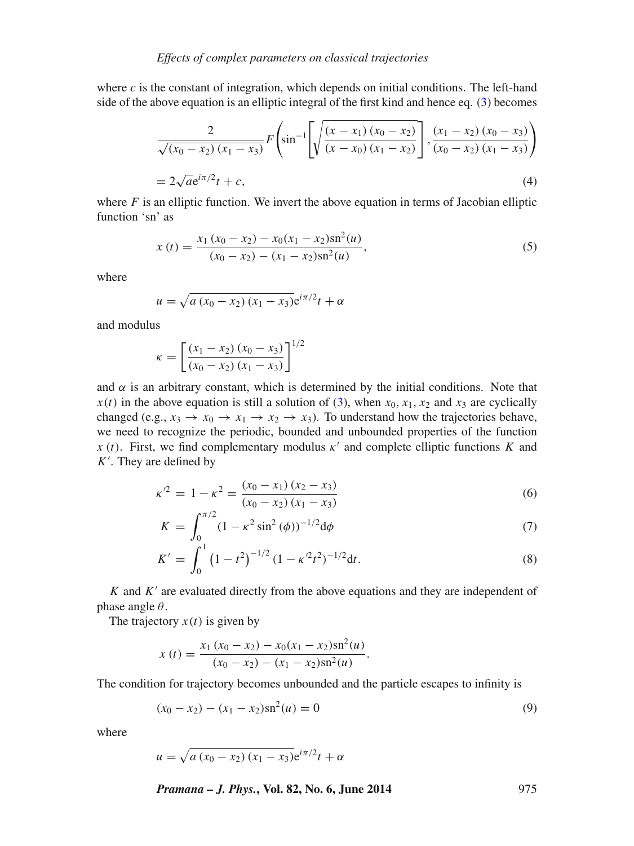where  $c$  is the constant of integration, which depends on initial conditions. The left-hand side of the above equation is an elliptic integral of the first kind and hence eq. [\(3\)](#page-1-2) becomes

$$
\frac{2}{\sqrt{(x_0 - x_2)(x_1 - x_3)}} F\left(\sin^{-1}\left[\sqrt{\frac{(x - x_1)(x_0 - x_2)}{(x - x_0)(x_1 - x_2)}}\right], \frac{(x_1 - x_2)(x_0 - x_3)}{(x_0 - x_2)(x_1 - x_3)}\right)
$$
\n
$$
= 2\sqrt{a}e^{i\pi/2}t + c,
$$
\n(4)

where  $F$  is an elliptic function. We invert the above equation in terms of Jacobian elliptic function 'sn' as

$$
x(t) = \frac{x_1(x_0 - x_2) - x_0(x_1 - x_2)\operatorname{sn}^2(u)}{(x_0 - x_2) - (x_1 - x_2)\operatorname{sn}^2(u)},
$$
\n(5)

where

$$
u = \sqrt{a(x_0 - x_2)(x_1 - x_3)}e^{i\pi/2}t + \alpha
$$

and modulus

$$
\kappa = \left[ \frac{(x_1 - x_2)(x_0 - x_3)}{(x_0 - x_2)(x_1 - x_3)} \right]^{1/2}
$$

and  $\alpha$  is an arbitrary constant, which is determined by the initial conditions. Note that  $x(t)$  in the above equation is still a solution of [\(3\)](#page-1-2), when  $x_0, x_1, x_2$  and  $x_3$  are cyclically changed (e.g.,  $x_3 \rightarrow x_0 \rightarrow x_1 \rightarrow x_2 \rightarrow x_3$ ). To understand how the trajectories behave, we need to recognize the periodic, bounded and unbounded properties of the function *x* (*t*). First, we find complementary modulus  $\kappa'$  and complete elliptic functions *K* and *K* . They are defined by

<span id="page-2-0"></span>
$$
\kappa'^2 = 1 - \kappa^2 = \frac{(x_0 - x_1)(x_2 - x_3)}{(x_0 - x_2)(x_1 - x_3)}
$$
(6)

$$
K = \int_0^{\pi/2} (1 - \kappa^2 \sin^2(\phi))^{-1/2} d\phi \tag{7}
$$

$$
K' = \int_0^1 \left(1 - t^2\right)^{-1/2} (1 - \kappa'^2 t^2)^{-1/2} dt.
$$
 (8)

*K* and *K'* are evaluated directly from the above equations and they are independent of phase angle *θ*.

The trajectory  $x(t)$  is given by

$$
x(t) = \frac{x_1(x_0 - x_2) - x_0(x_1 - x_2)\text{sn}^2(u)}{(x_0 - x_2) - (x_1 - x_2)\text{sn}^2(u)}.
$$

The condition for trajectory becomes unbounded and the particle escapes to infinity is

$$
(x_0 - x_2) - (x_1 - x_2) \operatorname{sn}^2(u) = 0 \tag{9}
$$

where

$$
u = \sqrt{a(x_0 - x_2)(x_1 - x_3)} e^{i\pi/2} t + \alpha
$$

*Pramana – J. Phys.***, Vol. 82, No. 6, June 2014** 975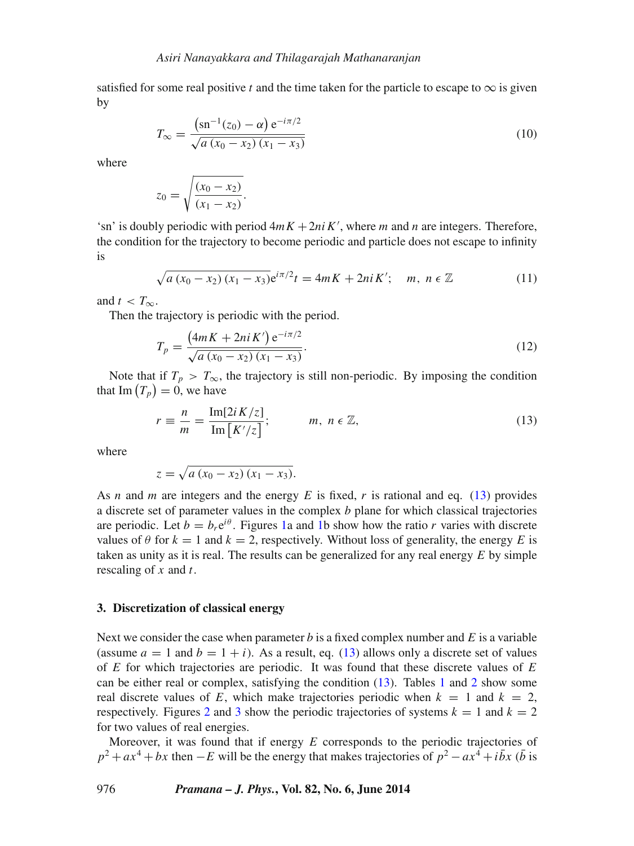satisfied for some real positive *t* and the time taken for the particle to escape to  $\infty$  is given by

$$
T_{\infty} = \frac{\left(\text{sn}^{-1}(z_0) - \alpha\right) \text{e}^{-i\pi/2}}{\sqrt{a\left(x_0 - x_2\right)\left(x_1 - x_3\right)}}
$$
(10)

where

$$
z_0 = \sqrt{\frac{(x_0 - x_2)}{(x_1 - x_2)}}.
$$

'sn' is doubly periodic with period  $4mK + 2niK'$ , where *m* and *n* are integers. Therefore, the condition for the trajectory to become periodic and particle does not escape to infinity is

$$
\sqrt{a(x_0 - x_2)(x_1 - x_3)} e^{i\pi/2} t = 4mK + 2niK'; \quad m, \ n \in \mathbb{Z}
$$
 (11)

and  $t < T_\infty$ .

Then the trajectory is periodic with the period.

$$
T_p = \frac{(4mK + 2niK')e^{-i\pi/2}}{\sqrt{a(x_0 - x_2)(x_1 - x_3)}}.
$$
\n(12)

Note that if  $T_p > T_\infty$ , the trajectory is still non-periodic. By imposing the condition that  $\text{Im}(T_p) = 0$ , we have

<span id="page-3-1"></span>
$$
r \equiv \frac{n}{m} = \frac{\text{Im}[2iK/z]}{\text{Im}[K'/z]}; \qquad m, n \in \mathbb{Z}, \qquad (13)
$$

where

$$
z = \sqrt{a(x_0 - x_2)(x_1 - x_3)}.
$$

As *n* and *m* are integers and the energy *E* is fixed, *r* is rational and eq. [\(13\)](#page-3-1) provides a discrete set of parameter values in the complex *b* plane for which classical trajectories are periodic. Let  $b = b_r e^{i\theta}$ . Figures [1a](#page-4-0) and [1b](#page-4-0) show how the ratio *r* varies with discrete values of  $\theta$  for  $k = 1$  and  $k = 2$ , respectively. Without loss of generality, the energy *E* is taken as unity as it is real. The results can be generalized for any real energy *E* by simple rescaling of *x* and *t*.

#### <span id="page-3-0"></span>**3. Discretization of classical energy**

Next we consider the case when parameter *b* is a fixed complex number and *E* is a variable (assume  $a = 1$  and  $b = 1 + i$ ). As a result, eq. [\(13\)](#page-3-1) allows only a discrete set of values of *E* for which trajectories are periodic. It was found that these discrete values of *E* can be either real or complex, satisfying the condition [\(13\)](#page-3-1). Tables [1](#page-5-1) and [2](#page-5-2) show some real discrete values of *E*, which make trajectories periodic when  $k = 1$  and  $k = 2$ , respectively. Figures [2](#page-6-0) and [3](#page-6-1) show the periodic trajectories of systems  $k = 1$  and  $k = 2$ for two values of real energies.

Moreover, it was found that if energy *E* corresponds to the periodic trajectories of  $p^2 + ax^4 + bx$  then −*E* will be the energy that makes trajectories of  $p^2 - ax^4 + i\bar{b}x$  ( $\bar{b}$  is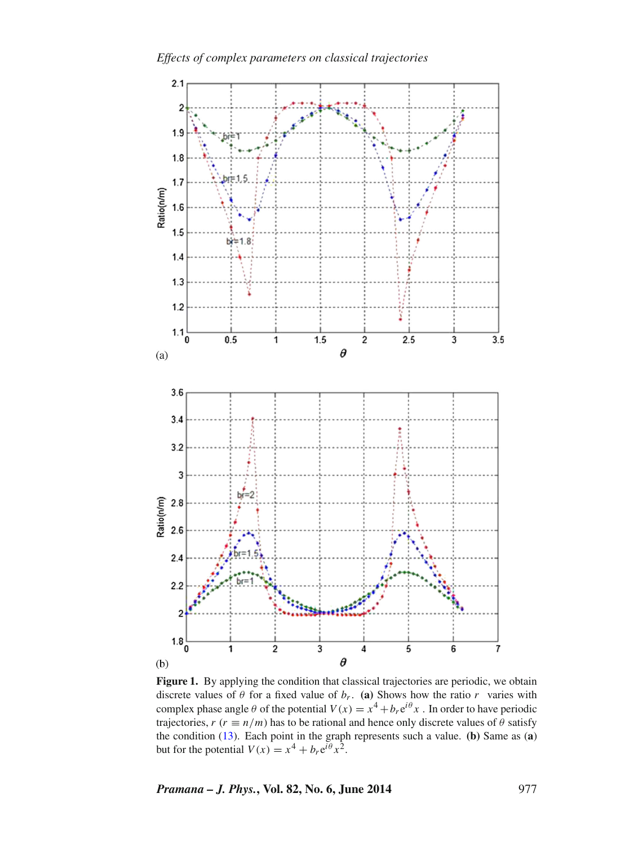<span id="page-4-0"></span>

Figure 1. By applying the condition that classical trajectories are periodic, we obtain discrete values of  $\theta$  for a fixed value of  $b_r$ . (a) Shows how the ratio  $r$  varies with complex phase angle  $\theta$  of the potential  $V(x) = x^4 + b_r e^{i\theta} x$ . In order to have periodic trajectories,  $r (r \equiv n/m)$  has to be rational and hence only discrete values of  $\theta$  satisfy the condition [\(13\)](#page-3-1). Each point in the graph represents such a value. **(b)** Same as (**a**) but for the potential  $V(x) = x^4 + b_r e^{i\theta} x^2$ .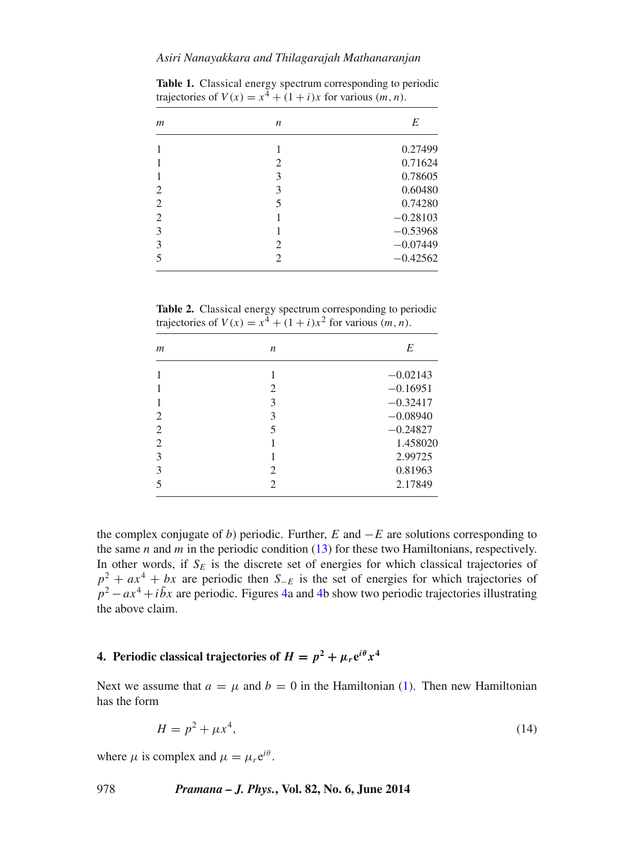## *Asiri Nanayakkara and Thilagarajah Mathanaranjan*

| $\mathfrak{m}$ | $\boldsymbol{n}$ | E          |
|----------------|------------------|------------|
|                |                  | 0.27499    |
|                | 2                | 0.71624    |
|                | 3                | 0.78605    |
| $\overline{2}$ | 3                | 0.60480    |
| 2              | 5                | 0.74280    |
| $\overline{2}$ |                  | $-0.28103$ |
| 3              |                  | $-0.53968$ |
| 3              | 2                | $-0.07449$ |
| 5              | 2                | $-0.42562$ |
|                |                  |            |

<span id="page-5-1"></span>**Table 1.** Classical energy spectrum corresponding to periodic trajectories of  $V(x) = x^4 + (1 + i)x$  for various  $(m, n)$ .

<span id="page-5-2"></span>**Table 2.** Classical energy spectrum corresponding to periodic trajectories of  $V(x) = x^4 + (1 + i)x^2$  for various  $(m, n)$ .

| $\mathfrak{m}$ | $\boldsymbol{n}$ | E          |
|----------------|------------------|------------|
|                |                  | $-0.02143$ |
|                | 2                | $-0.16951$ |
|                | 3                | $-0.32417$ |
| 2              | 3                | $-0.08940$ |
| $\overline{2}$ | 5                | $-0.24827$ |
| $\overline{c}$ |                  | 1.458020   |
| 3              |                  | 2.99725    |
| 3              | 2                | 0.81963    |
| 5              | 2                | 2.17849    |
|                |                  |            |

the complex conjugate of *b*) periodic. Further, *E* and −*E* are solutions corresponding to the same *n* and *m* in the periodic condition [\(13\)](#page-3-1) for these two Hamiltonians, respectively. In other words, if  $S_E$  is the discrete set of energies for which classical trajectories of  $p^2 + ax^4 + bx$  are periodic then *S*−*E* is the set of energies for which trajectories of  $p^2 - ax^4 + i\bar{b}x$  are periodic. Figures [4a](#page-7-0) and [4b](#page-7-0) show two periodic trajectories illustrating the above claim.

# <span id="page-5-0"></span>**4. Periodic classical trajectories of**  $H = p^2 + \mu_r e^{i\theta} x^4$

Next we assume that  $a = \mu$  and  $b = 0$  in the Hamiltonian [\(1\)](#page-1-3). Then new Hamiltonian has the form

$$
H = p^2 + \mu x^4,\tag{14}
$$

where  $\mu$  is complex and  $\mu = \mu_r e^{i\theta}$ .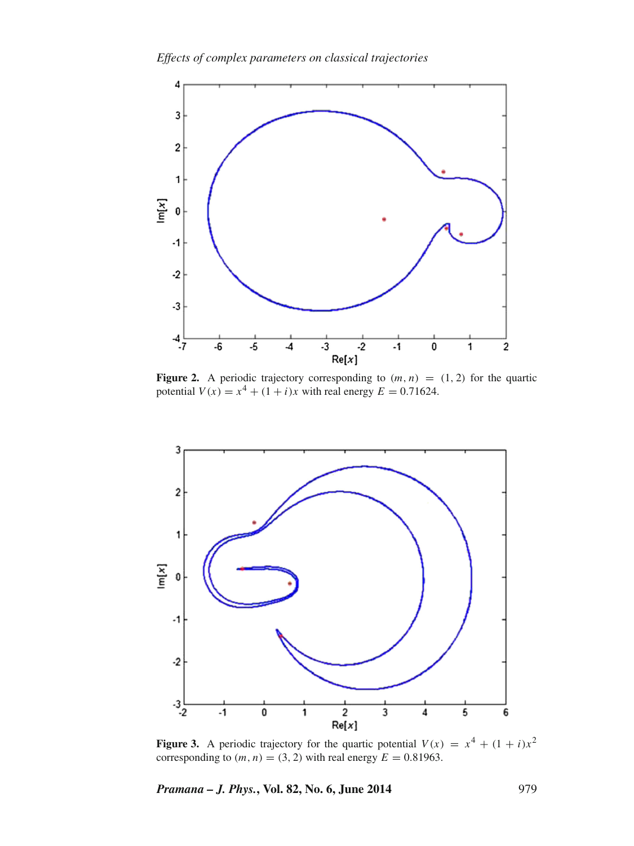*Effects of complex parameters on classical trajectories*

<span id="page-6-0"></span>

**Figure 2.** A periodic trajectory corresponding to  $(m, n) = (1, 2)$  for the quartic potential  $V(x) = x^4 + (1 + i)x$  with real energy  $E = 0.71624$ .

<span id="page-6-1"></span>

**Figure 3.** A periodic trajectory for the quartic potential  $V(x) = x^4 + (1 + i)x^2$ corresponding to  $(m, n) = (3, 2)$  with real energy  $E = 0.81963$ .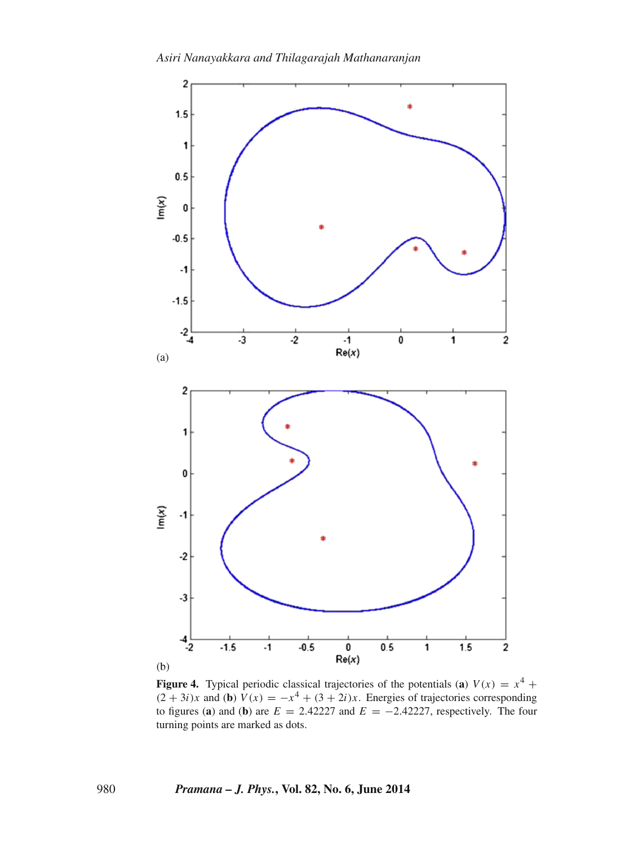<span id="page-7-0"></span>

**Figure 4.** Typical periodic classical trajectories of the potentials (**a**)  $V(x) = x^4 +$  $(2 + 3i)x$  and (**b**)  $V(x) = -x^4 + (3 + 2i)x$ . Energies of trajectories corresponding to figures (a) and (b) are  $E = 2.42227$  and  $E = -2.42227$ , respectively. The four turning points are marked as dots.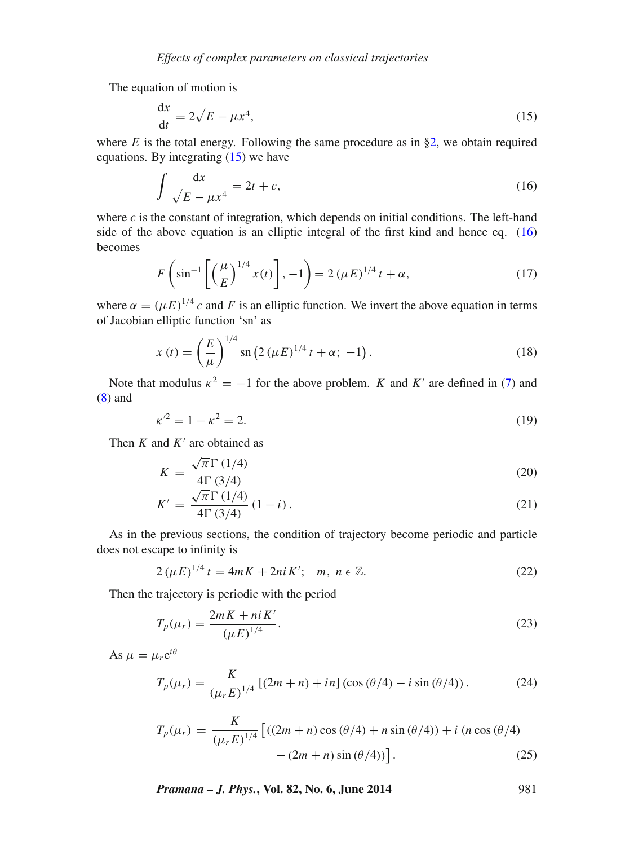The equation of motion is

<span id="page-8-0"></span>
$$
\frac{\mathrm{d}x}{\mathrm{d}t} = 2\sqrt{E - \mu x^4},\tag{15}
$$

where  $E$  is the total energy. Following the same procedure as in  $\S$ 2, we obtain required equations. By integrating  $(15)$  we have

<span id="page-8-1"></span>
$$
\int \frac{\mathrm{d}x}{\sqrt{E - \mu x^4}} = 2t + c,\tag{16}
$$

where  $c$  is the constant of integration, which depends on initial conditions. The left-hand side of the above equation is an elliptic integral of the first kind and hence eq.  $(16)$ becomes

$$
F\left(\sin^{-1}\left[\left(\frac{\mu}{E}\right)^{1/4}x(t)\right], -1\right) = 2\left(\mu E\right)^{1/4}t + \alpha,\tag{17}
$$

where  $\alpha = (\mu E)^{1/4} c$  and *F* is an elliptic function. We invert the above equation in terms of Jacobian elliptic function 'sn' as

$$
x(t) = \left(\frac{E}{\mu}\right)^{1/4} \operatorname{sn}\left(2\left(\mu E\right)^{1/4} t + \alpha; -1\right). \tag{18}
$$

Note that modulus  $\kappa^2 = -1$  for the above problem. *K* and *K'* are defined in [\(7\)](#page-2-0) and [\(8\)](#page-2-0) and

$$
\kappa^2 = 1 - \kappa^2 = 2. \tag{19}
$$

Then  $K$  and  $K'$  are obtained as

$$
K = \frac{\sqrt{\pi} \Gamma (1/4)}{4 \Gamma (3/4)}
$$
\n(20)

$$
K' = \frac{\sqrt{\pi} \Gamma(1/4)}{4\Gamma(3/4)} (1 - i).
$$
 (21)

As in the previous sections, the condition of trajectory become periodic and particle does not escape to infinity is

$$
2(\mu E)^{1/4} t = 4mK + 2niK'; \quad m, \; n \in \mathbb{Z}.
$$
 (22)

Then the trajectory is periodic with the period

$$
T_p(\mu_r) = \frac{2mK + niK'}{(\mu E)^{1/4}}.
$$
\n(23)

As  $\mu = \mu_r e^{i\theta}$ 

$$
T_p(\mu_r) = \frac{K}{(\mu_r E)^{1/4}} \left[ (2m + n) + in \right] (\cos (\theta/4) - i \sin (\theta/4)). \tag{24}
$$

$$
T_p(\mu_r) = \frac{K}{(\mu_r E)^{1/4}} \left[ ((2m + n) \cos (\theta/4) + n \sin (\theta/4)) + i (n \cos (\theta/4) - (2m + n) \sin (\theta/4)) \right].
$$
 (25)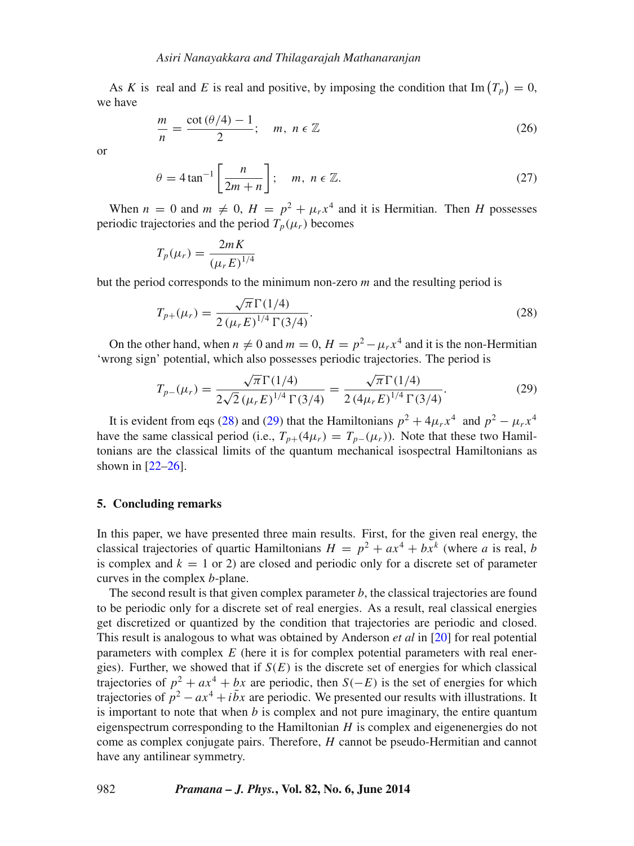As *K* is real and *E* is real and positive, by imposing the condition that  $\text{Im}(T_p) = 0$ , we have

$$
\frac{m}{n} = \frac{\cot(\theta/4) - 1}{2}; \quad m, n \in \mathbb{Z}
$$
 (26)

or

$$
\theta = 4 \tan^{-1} \left[ \frac{n}{2m+n} \right]; \quad m, \ n \in \mathbb{Z}.
$$
 (27)

When  $n = 0$  and  $m \neq 0$ ,  $H = p^2 + \mu_r x^4$  and it is Hermitian. Then *H* possesses periodic trajectories and the period  $T_p(\mu_r)$  becomes

$$
T_p(\mu_r) = \frac{2mK}{(\mu_r E)^{1/4}}
$$

but the period corresponds to the minimum non-zero *m* and the resulting period is

<span id="page-9-1"></span>
$$
T_{p+}(\mu_r) = \frac{\sqrt{\pi} \Gamma(1/4)}{2 \left(\mu_r E\right)^{1/4} \Gamma(3/4)}.
$$
\n(28)

On the other hand, when  $n \neq 0$  and  $m = 0$ ,  $H = p^2 - \mu_r x^4$  and it is the non-Hermitian 'wrong sign' potential, which also possesses periodic trajectories. The period is

<span id="page-9-2"></span>
$$
T_{p-}(\mu_r) = \frac{\sqrt{\pi} \Gamma(1/4)}{2\sqrt{2} \left(\mu_r E\right)^{1/4} \Gamma(3/4)} = \frac{\sqrt{\pi} \Gamma(1/4)}{2 \left(4\mu_r E\right)^{1/4} \Gamma(3/4)}.
$$
(29)

It is evident from eqs [\(28\)](#page-9-1) and [\(29\)](#page-9-2) that the Hamiltonians  $p^2 + 4\mu_r x^4$  and  $p^2 - \mu_r x^4$ have the same classical period (i.e.,  $T_{p+}(4\mu_r) = T_{p-}(\mu_r)$ ). Note that these two Hamiltonians are the classical limits of the quantum mechanical isospectral Hamiltonians as shown in [\[22–](#page-10-12)[26\]](#page-10-13).

### <span id="page-9-0"></span>**5. Concluding remarks**

In this paper, we have presented three main results. First, for the given real energy, the classical trajectories of quartic Hamiltonians  $H = p^2 + ax^4 + bx^k$  (where *a* is real, *b* is complex and  $k = 1$  or 2) are closed and periodic only for a discrete set of parameter curves in the complex *b*-plane.

The second result is that given complex parameter *b*, the classical trajectories are found to be periodic only for a discrete set of real energies. As a result, real classical energies get discretized or quantized by the condition that trajectories are periodic and closed. This result is analogous to what was obtained by Anderson *et al* in [\[20\]](#page-10-10) for real potential parameters with complex *E* (here it is for complex potential parameters with real energies). Further, we showed that if  $S(E)$  is the discrete set of energies for which classical trajectories of  $p^2 + ax^4 + bx$  are periodic, then *S(−E)* is the set of energies for which trajectories of  $p^2 - ax^4 + i\bar{b}x$  are periodic. We presented our results with illustrations. It is important to note that when *b* is complex and not pure imaginary, the entire quantum eigenspectrum corresponding to the Hamiltonian *H* is complex and eigenenergies do not come as complex conjugate pairs. Therefore, *H* cannot be pseudo-Hermitian and cannot have any antilinear symmetry.